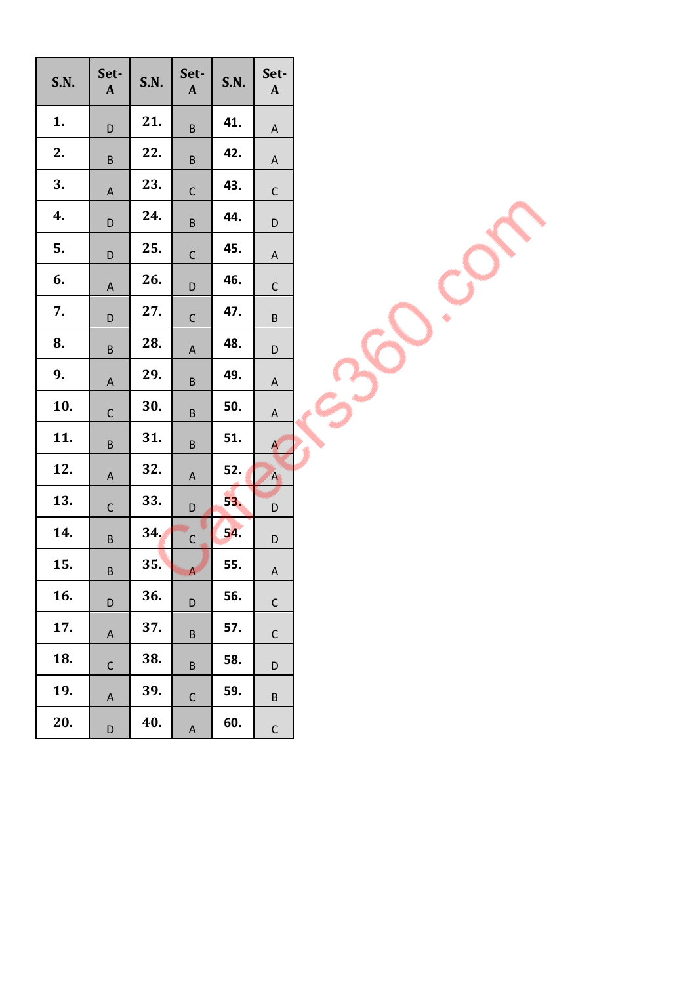| S.N. | Set-<br>$\mathbf{A}$ | S.N. | Set-<br>$\mathbf{A}$    | S.N. | Set-<br>$\mathbf{A}$ |
|------|----------------------|------|-------------------------|------|----------------------|
| 1.   | D                    | 21.  | B                       | 41.  | A                    |
| 2.   | $\sf B$              | 22.  | $\sf B$                 | 42.  | A                    |
| 3.   | A                    | 23.  | $\mathsf{C}$            | 43.  | $\mathsf C$          |
| 4.   | D                    | 24.  | B                       | 44.  | D                    |
| 5.   | D                    | 25.  | $\mathsf C$             | 45.  | A                    |
| 6.   | A                    | 26.  | D                       | 46.  | $\mathsf{C}$         |
| 7.   | D                    | 27.  | $\mathsf{C}$            | 47.  | B                    |
| 8.   | B                    | 28.  | A                       | 48.  | D                    |
| 9.   | A                    | 29.  | $\sf B$                 | 49.  | A                    |
| 10.  | $\mathsf{C}$         | 30.  | B                       | 50.  | A                    |
| 11.  | B                    | 31.  | B                       | 51.  | A                    |
| 12.  | A                    | 32.  | A                       | 52.  | A                    |
| 13.  | $\mathsf{C}$         | 33.  | D                       | 53.  | D                    |
| 14.  | B                    | 34.  | $\mathsf{C}$            | 54.  | D                    |
| 15.  | B                    | 35.  | $\overline{\mathsf{A}}$ | 55.  | A                    |
| 16.  | D                    | 36.  | D                       | 56.  | C                    |
| 17.  | A                    | 37.  | B                       | 57.  | C                    |
| 18.  | $\mathsf C$          | 38.  | B                       | 58.  | D                    |
| 19.  | A                    | 39.  | C                       | 59.  | B                    |
| 20.  | D                    | 40.  | A                       | 60.  | C                    |